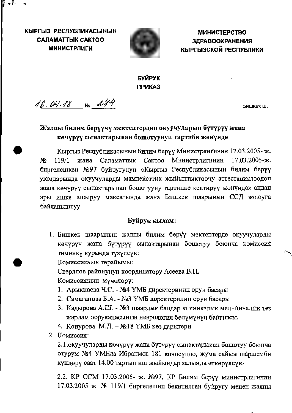КЫРГЫЗ РЕСПУБЛИКАСЫНЫН **CAЛAMATTЫK CAKTOO МИНИСТРЛИГИ** 

 $\bullet L$ 



**МИНИСТЕРСТВО ЗДРАВООХРАНЕНИЯ** КЫРГЫЗСКОЙ РЕСПУБЛИКИ

## БУЙРУК **ПРИКАЗ**

16.04.18 No 244

Бишкек ш.

# Жалпы билим берүүчү мектептердин окуучуларын бүтүрүү жана көчүрүү сынактарынан бошотуунуп тартиби жөнүндө

Кыргыз Республикасынын билим берүү Министрлигинин 17.03.2005-ж. 119/1 жаиа Саламаттык Сактоо Министрлигинин 17.03.2005-ж. No биргелешкен №97 буйругунун «Кыргыз Республикасынын билим берүү уюмдарында окуучуларды мамлекеттик жыйынтыктоочу аттестациялоодон жана көчүрүү сынактарынан бошотууну тартипке келтирүү жөнүндө» андан ары ишке ашыруу максатында жана Бишкек шаарынын ССД жоюуга байланыштуу

#### Буйрук кылам:

1. Бишкек шаарынын жалпы билим берүү мектептерде окуучуларды көчүрүү жана бүтүрүү сынактарынан бошотуу боюнча комиссия төмөнкү курамда түзүлсүн:

Комиссиянын төрайымы:

Свердлов районунун координатору Асеева В.Н.

Комиссиянын мүчөлөрү:

- 1. Арыклаева Ч.С. №4 ҮМБ директеринин орун басары
- 2. Самаганова Б.А. №3 ҮМБ директеринин орун басары
- 3. Кадырова А.Ш. №3 шаардык балдар клиникалык медициналык тез жардам ооруканасынын неврология бөлүмүнүн башчысы.
- 4. Конурова М.Д. №18 ҮМБ көз дарыгери
- 2. Комиссия:

2.1.окуучуларды көчүрүү жана бүтүрүү сынактарыиан бошотуу боюнча отурум №4 УМБда Ибранмов 181 көчөсүндө, жума сайын шаршемби күндөрү саат 14.00 тартып иш жыйындар залында өткөрүлсүн.

2.2. КР ССМ 17.03.2005- ж. №97, КР Билим берүү министрлигинин 17.03.2005 ж. № 119/1 биргелешип бекитилген буйругу менен жалпы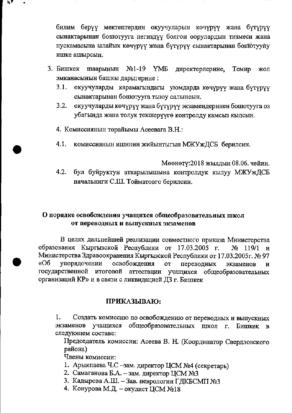билим берүү мектептердин окуучуларын көчүрүү жана бүтүрүү сынактарынан бошотууга негиздүү болгон оорулардын тизмеси жана нускамасына ылайык көчүрүү жана бүтүрүү сынактарынан бошотууну ишке ашырсын.

- 3. Бишкек шаарынын  $N<sub>2</sub>1-19$  YMB директерлерине, Темир ЖОЛ эмканасыиын башкы дарыгерине:
	- $3.1.$ окуучуларды карамагындагы уюмдарда көчүрүү жана бүтүрүү сынактарынан бошотууга тыюу салынсын.
	- $3.2.$ окуучуларды көчүрүү жана бүтүрүү экзамендеринен бошотууга оз убагында жана толук текшерүүгө контролду камсыз кылсын.
	- 4. Комиссиянын төрайымы Асеевага В.Н.:
	- $4.1.$ комиссиянын ишинин жийынтыгын МЖУжДСБ берилсин.

Мөөнөтү: 2018 жылдын 08.06. чейин.

 $4.2.$ бул буйруктун аткарылышына контролдук кылуу МЖУжДСБ начальниги С.Ш. Тойматовго берилсин.

### О порядке освобождения учащихся общеобразовательных школ от переводных и выпускных экзаменов

В целях дальнейшей реализации совместного приказа Министерства образования Кыргызской Республики от 17.03.2005 г. № 119/1 и Министерства Здравоохранения Кыргызской Республики от 17.03.2005г. № 97  $\kappa$ Oб упорядочении освобождения **OT** переводных экзаменов  $\mathbf{H}$ государственной итоговой аттестации учащихся общеобразовательных организаций КР» и в связи с ликвидацией ДЗ г. Бишкек

#### ПРИКАЗЫВАЮ:

Создать комиссию по освобождению от переводных и выпускных 1. экзаменов учащихся общеобразовательных школ г. Бишкек в следующем составе:

Председатель комиссии: Асеева В. Н. (Координатор Свердловского района)

Члены комиссии:

- 1. Арыкпаева Ч.С -зам. директор ЦСМ №4 (секретарь)
- 2. Самаганова Б.А. зам. директор ЦСМ №3
- 3. Кадырова А.Ш. Зав. неврологии ГДКБСМП №3
- 4. Конурова М.Д. окулист ЦСМ №18